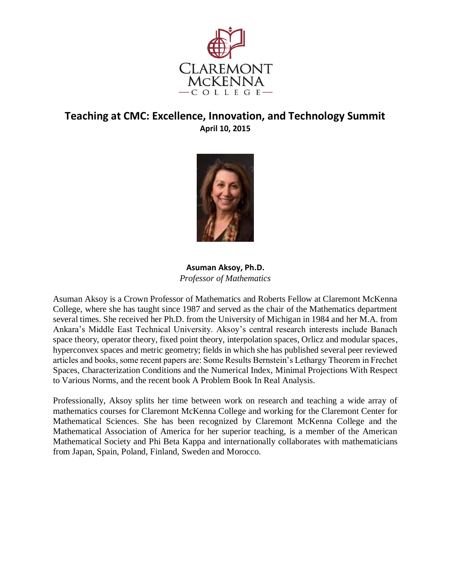



**Asuman Aksoy, Ph.D.**  *Professor of Mathematics* 

Asuman Aksoy is a Crown Professor of Mathematics and Roberts Fellow at Claremont McKenna College, where she has taught since 1987 and served as the chair of the Mathematics department several times. She received her Ph.D. from the University of Michigan in 1984 and her M.A. from Ankara's Middle East Technical University. Aksoy's central research interests include Banach space theory, operator theory, fixed point theory, interpolation spaces, Orlicz and modular spaces, hyperconvex spaces and metric geometry; fields in which she has published several peer reviewed articles and books, some recent papers are: Some Results Bernstein's Lethargy Theorem in Frechet Spaces, Characterization Conditions and the Numerical Index, Minimal Projections With Respect to Various Norms, and the recent book A Problem Book In Real Analysis.

Professionally, Aksoy splits her time between work on research and teaching a wide array of mathematics courses for Claremont McKenna College and working for the Claremont Center for Mathematical Sciences. She has been recognized by Claremont McKenna College and the Mathematical Association of America for her superior teaching, is a member of the American Mathematical Society and Phi Beta Kappa and internationally collaborates with mathematicians from Japan, Spain, Poland, Finland, Sweden and Morocco.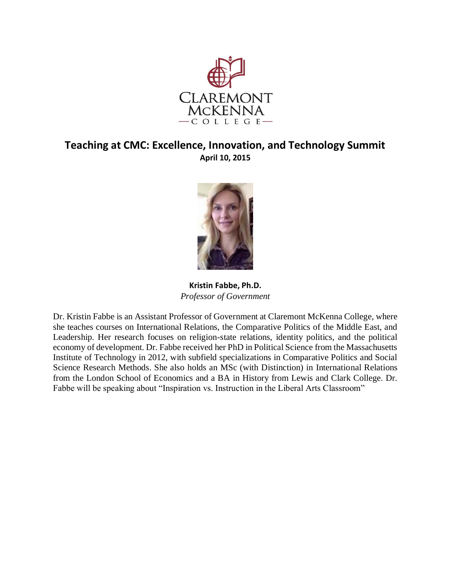



**Kristin Fabbe, Ph.D.**  *Professor of Government* 

Dr. Kristin Fabbe is an Assistant Professor of Government at Claremont McKenna College, where she teaches courses on International Relations, the Comparative Politics of the Middle East, and Leadership. Her research focuses on religion-state relations, identity politics, and the political economy of development. Dr. Fabbe received her PhD in Political Science from the Massachusetts Institute of Technology in 2012, with subfield specializations in Comparative Politics and Social Science Research Methods. She also holds an MSc (with Distinction) in International Relations from the London School of Economics and a BA in History from Lewis and Clark College. Dr. Fabbe will be speaking about "Inspiration vs. Instruction in the Liberal Arts Classroom"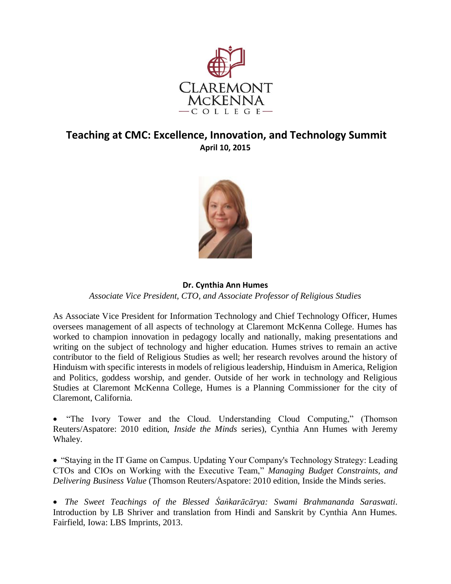



#### **Dr. Cynthia Ann Humes**  *Associate Vice President, CTO, and Associate Professor of Religious Studies*

As Associate Vice President for Information Technology and Chief Technology Officer, Humes oversees management of all aspects of technology at Claremont McKenna College. Humes has worked to champion innovation in pedagogy locally and nationally, making presentations and writing on the subject of technology and higher education. Humes strives to remain an active contributor to the field of Religious Studies as well; her research revolves around the history of Hinduism with specific interests in models of religious leadership, Hinduism in America, Religion and Politics, goddess worship, and gender. Outside of her work in technology and Religious Studies at Claremont McKenna College, Humes is a Planning Commissioner for the city of Claremont, California.

• "The Ivory Tower and the Cloud. Understanding Cloud Computing," (Thomson Reuters/Aspatore: 2010 edition, *Inside the Minds* series), Cynthia Ann Humes with Jeremy Whaley.

• "Staying in the IT Game on Campus. Updating Your Company's Technology Strategy: Leading CTOs and CIOs on Working with the Executive Team," *Managing Budget Constraints, and Delivering Business Value* (Thomson Reuters/Aspatore: 2010 edition, Inside the Minds series.

• *The Sweet Teachings of the Blessed Śaṅkarācārya: Swami Brahmananda Saraswati*. Introduction by LB Shriver and translation from Hindi and Sanskrit by Cynthia Ann Humes. Fairfield, Iowa: LBS Imprints, 2013.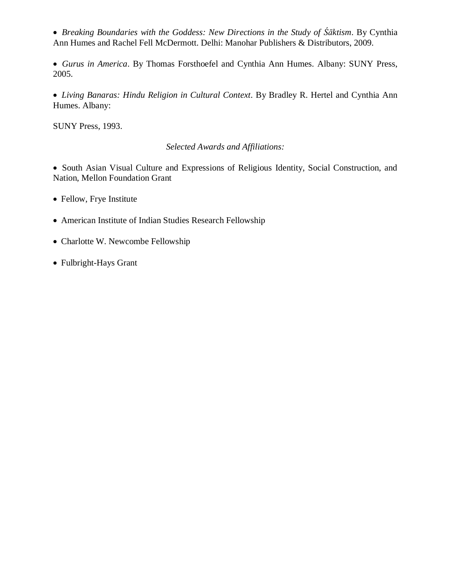• *Breaking Boundaries with the Goddess: New Directions in the Study of Śāktism*. By Cynthia Ann Humes and Rachel Fell McDermott. Delhi: Manohar Publishers & Distributors, 2009.

• *Gurus in America*. By Thomas Forsthoefel and Cynthia Ann Humes. Albany: SUNY Press, 2005.

• *Living Banaras: Hindu Religion in Cultural Context*. By Bradley R. Hertel and Cynthia Ann Humes. Albany:

SUNY Press, 1993.

#### *Selected Awards and Affiliations:*

• South Asian Visual Culture and Expressions of Religious Identity, Social Construction, and Nation, Mellon Foundation Grant

- Fellow, Frye Institute
- American Institute of Indian Studies Research Fellowship
- Charlotte W. Newcombe Fellowship
- Fulbright-Hays Grant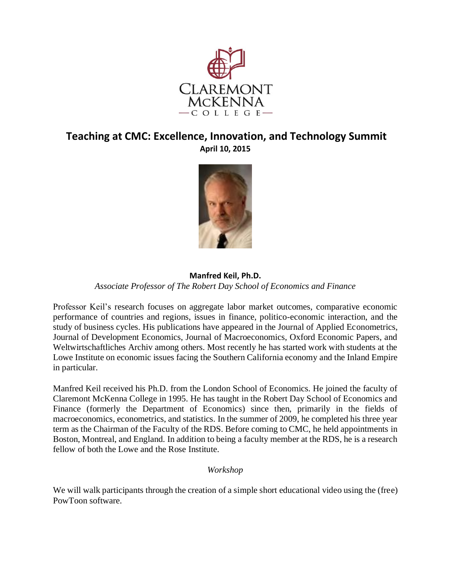



#### **Manfred Keil, Ph.D.**  *Associate Professor of The Robert Day School of Economics and Finance*

Professor Keil's research focuses on aggregate labor market outcomes, comparative economic performance of countries and regions, issues in finance, politico-economic interaction, and the study of business cycles. His publications have appeared in the Journal of Applied Econometrics, Journal of Development Economics, Journal of Macroeconomics, Oxford Economic Papers, and Weltwirtschaftliches Archiv among others. Most recently he has started work with students at the Lowe Institute on economic issues facing the Southern California economy and the Inland Empire in particular.

Manfred Keil received his Ph.D. from the London School of Economics. He joined the faculty of Claremont McKenna College in 1995. He has taught in the Robert Day School of Economics and Finance (formerly the Department of Economics) since then, primarily in the fields of macroeconomics, econometrics, and statistics. In the summer of 2009, he completed his three year term as the Chairman of the Faculty of the RDS. Before coming to CMC, he held appointments in Boston, Montreal, and England. In addition to being a faculty member at the RDS, he is a research fellow of both the Lowe and the Rose Institute.

#### *Workshop*

We will walk participants through the creation of a simple short educational video using the (free) PowToon software.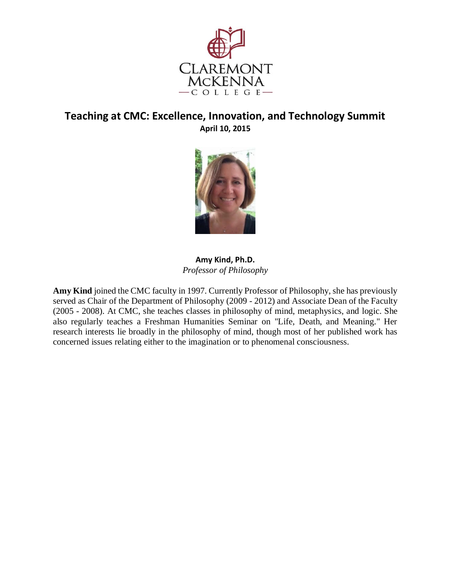



**Amy Kind, Ph.D.**  *Professor of Philosophy* 

**Amy Kind** joined the CMC faculty in 1997. Currently Professor of Philosophy, she has previously served as Chair of the Department of Philosophy (2009 - 2012) and Associate Dean of the Faculty (2005 - 2008). At CMC, she teaches classes in philosophy of mind, metaphysics, and logic. She also regularly teaches a Freshman Humanities Seminar on "Life, Death, and Meaning." Her research interests lie broadly in the philosophy of mind, though most of her published work has concerned issues relating either to the imagination or to phenomenal consciousness.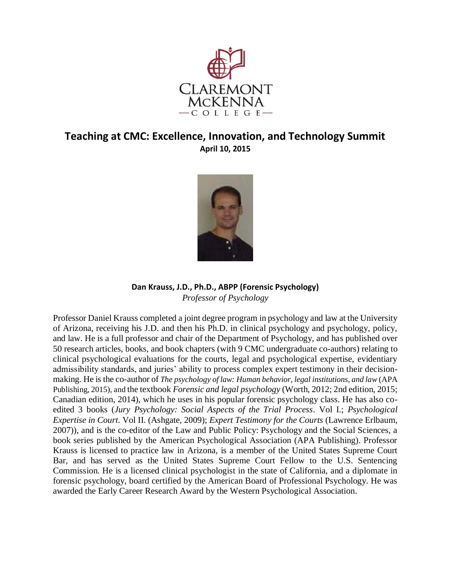



#### **Dan Krauss, J.D., Ph.D., ABPP (Forensic Psychology)**  *Professor of Psychology*

Professor Daniel Krauss completed a joint degree program in psychology and law at the University of Arizona, receiving his J.D. and then his Ph.D. in clinical psychology and psychology, policy, and law. He is a full professor and chair of the Department of Psychology, and has published over 50 research articles, books, and book chapters (with 9 CMC undergraduate co-authors) relating to clinical psychological evaluations for the courts, legal and psychological expertise, evidentiary admissibility standards, and juries' ability to process complex expert testimony in their decisionmaking. He is the co-author of *The psychology of law: Human behavior, legal institutions, and law* (APA Publishing, 2015), and the textbook *Forensic and legal psychology* (Worth, 2012; 2nd edition, 2015; Canadian edition, 2014), which he uses in his popular forensic psychology class. He has also coedited 3 books (*Jury Psychology: Social Aspects of the Trial Process*. Vol I.; *Psychological Expertise in Court*. Vol II. (Ashgate, 2009); *Expert Testimony for the Courts* (Lawrence Erlbaum, 2007)), and is the co-editor of the Law and Public Policy: Psychology and the Social Sciences, a book series published by the American Psychological Association (APA Publishing). Professor Krauss is licensed to practice law in Arizona, is a member of the United States Supreme Court Bar, and has served as the United States Supreme Court Fellow to the U.S. Sentencing Commission. He is a licensed clinical psychologist in the state of California, and a diplomate in forensic psychology, board certified by the American Board of Professional Psychology. He was awarded the Early Career Research Award by the Western Psychological Association.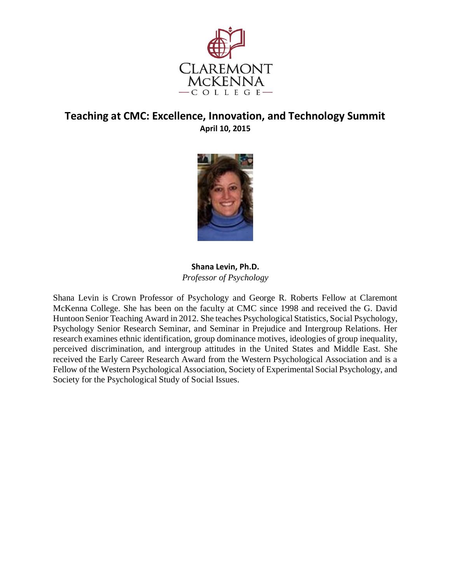



#### **Shana Levin, Ph.D.**  *Professor of Psychology*

Shana Levin is Crown Professor of Psychology and George R. Roberts Fellow at Claremont McKenna College. She has been on the faculty at CMC since 1998 and received the G. David Huntoon Senior Teaching Award in 2012. She teaches Psychological Statistics, Social Psychology, Psychology Senior Research Seminar, and Seminar in Prejudice and Intergroup Relations. Her research examines ethnic identification, group dominance motives, ideologies of group inequality, perceived discrimination, and intergroup attitudes in the United States and Middle East. She received the Early Career Research Award from the Western Psychological Association and is a Fellow of the Western Psychological Association, Society of Experimental Social Psychology, and Society for the Psychological Study of Social Issues.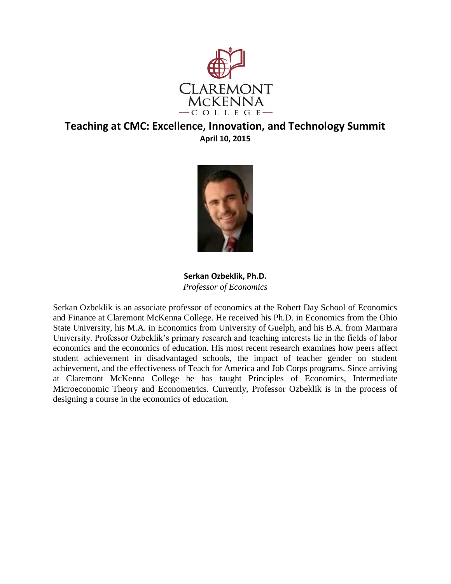



**Serkan Ozbeklik, Ph.D.**  *Professor of Economics* 

Serkan Ozbeklik is an associate professor of economics at the Robert Day School of Economics and Finance at Claremont McKenna College. He received his Ph.D. in Economics from the Ohio State University, his M.A. in Economics from University of Guelph, and his B.A. from Marmara University. Professor Ozbeklik's primary research and teaching interests lie in the fields of labor economics and the economics of education. His most recent research examines how peers affect student achievement in disadvantaged schools, the impact of teacher gender on student achievement, and the effectiveness of Teach for America and Job Corps programs. Since arriving at Claremont McKenna College he has taught Principles of Economics, Intermediate Microeconomic Theory and Econometrics. Currently, Professor Ozbeklik is in the process of designing a course in the economics of education.